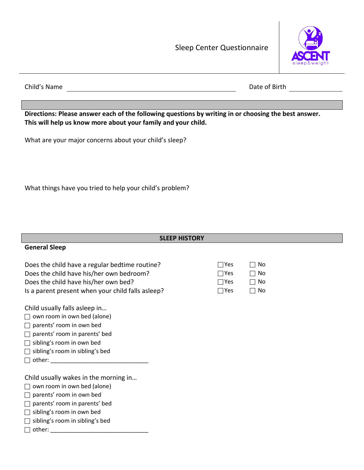Sleep Center Questionnaire



Child's Name Date of Birth

**Directions: Please answer each of the following questions by writing in or choosing the best answer. This will help us know more about your family and your child.**

What are your major concerns about your child's sleep?

What things have you tried to help your child's problem?

## **SLEEP HISTORY**

## **General Sleep**

Does the child have a regular bedtime routine? Does the child have his/her own bedroom? Does the child have his/her own bed? Is a parent present when your child falls asleep?  $\Box$  Yes  $\Box$  No

Child usually falls asleep in…

- $\Box$  own room in own bed (alone)
- $\Box$  parents' room in own bed
- $\Box$  parents' room in parents' bed
- $\Box$  sibling's room in own bed
- $\Box$  sibling's room in sibling's bed
- other: \_\_\_\_\_\_\_\_\_\_\_\_\_\_\_\_\_\_\_\_\_\_\_\_\_\_\_\_\_\_

Child usually wakes in the morning in…

 $\Box$  own room in own bed (alone)

parents' room in own bed

 $\Box$  parents' room in parents' bed

sibling's room in own bed

 $\Box$  sibling's room in sibling's bed

other: \_\_\_\_\_\_\_\_\_\_\_\_\_\_\_\_\_\_\_\_\_\_\_\_\_\_\_\_\_\_

| l IYes      | $\Box$ No |
|-------------|-----------|
| $ $ $ $ Yes | ∣∣No      |
| l Yes       | ∣∣No      |
| I IYAS      | ⊥ IN∩     |